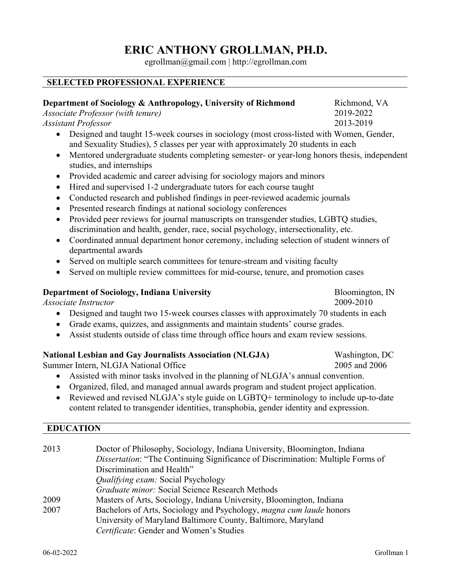# **ERIC ANTHONY GROLLMAN, PH.D.**

egrollman@gmail.com | http://egrollman.com

## **SELECTED PROFESSIONAL EXPERIENCE**

#### **Department of Sociology & Anthropology, University of Richmond Richmond, VA**

*Associate Professor (with tenure)* 2019-2022

*Assistant Professor* 2013-2019

- Designed and taught 15-week courses in sociology (most cross-listed with Women, Gender, and Sexuality Studies), 5 classes per year with approximately 20 students in each
- Mentored undergraduate students completing semester- or year-long honors thesis, independent studies, and internships
- Provided academic and career advising for sociology majors and minors
- Hired and supervised 1-2 undergraduate tutors for each course taught
- Conducted research and published findings in peer-reviewed academic journals
- Presented research findings at national sociology conferences
- Provided peer reviews for journal manuscripts on transgender studies, LGBTO studies, discrimination and health, gender, race, social psychology, intersectionality, etc.
- Coordinated annual department honor ceremony, including selection of student winners of departmental awards
- Served on multiple search committees for tenure-stream and visiting faculty
- Served on multiple review committees for mid-course, tenure, and promotion cases

## **Department of Sociology, Indiana University** Bloomington, IN

*Associate Instructor* 2009-2010

- Designed and taught two 15-week courses classes with approximately 70 students in each
- Grade exams, quizzes, and assignments and maintain students' course grades.
- Assist students outside of class time through office hours and exam review sessions.

## **National Lesbian and Gay Journalists Association (NLGJA)** Washington, DC

Summer Intern, NLGJA National Office 2005 2005 2005 2006

- Assisted with minor tasks involved in the planning of NLGJA's annual convention.
- Organized, filed, and managed annual awards program and student project application.
- Reviewed and revised NLGJA's style guide on LGBTQ+ terminology to include up-to-date content related to transgender identities, transphobia, gender identity and expression.

#### **EDUCATION**

| 2013 | Doctor of Philosophy, Sociology, Indiana University, Bloomington, Indiana<br>Dissertation: "The Continuing Significance of Discrimination: Multiple Forms of |
|------|--------------------------------------------------------------------------------------------------------------------------------------------------------------|
|      | Discrimination and Health"                                                                                                                                   |
|      | <i>Qualifying exam:</i> Social Psychology                                                                                                                    |
|      | Graduate minor: Social Science Research Methods                                                                                                              |
| 2009 | Masters of Arts, Sociology, Indiana University, Bloomington, Indiana                                                                                         |
| 2007 | Bachelors of Arts, Sociology and Psychology, magna cum laude honors                                                                                          |
|      | University of Maryland Baltimore County, Baltimore, Maryland                                                                                                 |
|      | Certificate: Gender and Women's Studies                                                                                                                      |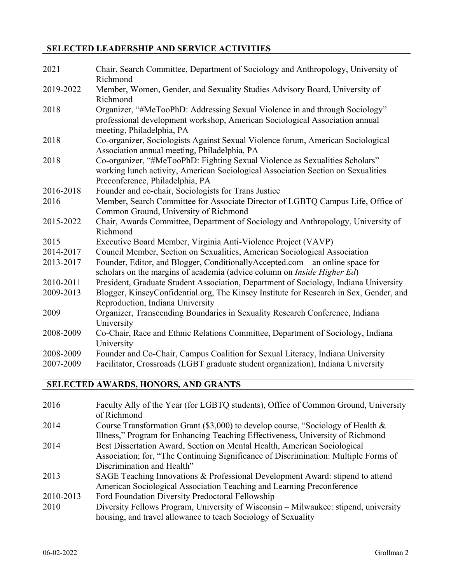# **SELECTED LEADERSHIP AND SERVICE ACTIVITIES**

| 2021      | Chair, Search Committee, Department of Sociology and Anthropology, University of                         |
|-----------|----------------------------------------------------------------------------------------------------------|
| 2019-2022 | Richmond<br>Member, Women, Gender, and Sexuality Studies Advisory Board, University of                   |
|           | Richmond                                                                                                 |
| 2018      | Organizer, "#MeTooPhD: Addressing Sexual Violence in and through Sociology"                              |
|           | professional development workshop, American Sociological Association annual<br>meeting, Philadelphia, PA |
| 2018      | Co-organizer, Sociologists Against Sexual Violence forum, American Sociological                          |
|           | Association annual meeting, Philadelphia, PA                                                             |
| 2018      | Co-organizer, "#MeTooPhD: Fighting Sexual Violence as Sexualities Scholars"                              |
|           | working lunch activity, American Sociological Association Section on Sexualities                         |
|           | Preconference, Philadelphia, PA                                                                          |
| 2016-2018 | Founder and co-chair, Sociologists for Trans Justice                                                     |
| 2016      | Member, Search Committee for Associate Director of LGBTQ Campus Life, Office of                          |
|           | Common Ground, University of Richmond                                                                    |
| 2015-2022 | Chair, Awards Committee, Department of Sociology and Anthropology, University of                         |
|           | Richmond                                                                                                 |
| 2015      | Executive Board Member, Virginia Anti-Violence Project (VAVP)                                            |
| 2014-2017 | Council Member, Section on Sexualities, American Sociological Association                                |
| 2013-2017 | Founder, Editor, and Blogger, ConditionallyAccepted.com - an online space for                            |
|           | scholars on the margins of academia (advice column on <i>Inside Higher Ed</i> )                          |
| 2010-2011 | President, Graduate Student Association, Department of Sociology, Indiana University                     |
| 2009-2013 | Blogger, KinseyConfidential.org, The Kinsey Institute for Research in Sex, Gender, and                   |
|           | Reproduction, Indiana University                                                                         |
| 2009      | Organizer, Transcending Boundaries in Sexuality Research Conference, Indiana                             |
|           | University                                                                                               |
| 2008-2009 | Co-Chair, Race and Ethnic Relations Committee, Department of Sociology, Indiana                          |
|           | University                                                                                               |
| 2008-2009 | Founder and Co-Chair, Campus Coalition for Sexual Literacy, Indiana University                           |
| 2007-2009 | Facilitator, Crossroads (LGBT graduate student organization), Indiana University                         |

# **SELECTED AWARDS, HONORS, AND GRANTS**

| 2016      | Faculty Ally of the Year (for LGBTQ students), Office of Common Ground, University  |
|-----------|-------------------------------------------------------------------------------------|
|           | of Richmond                                                                         |
| 2014      | Course Transformation Grant (\$3,000) to develop course, "Sociology of Health $\&$  |
|           | Illness," Program for Enhancing Teaching Effectiveness, University of Richmond      |
| 2014      | Best Dissertation Award, Section on Mental Health, American Sociological            |
|           | Association; for, "The Continuing Significance of Discrimination: Multiple Forms of |
|           | Discrimination and Health"                                                          |
| 2013      | SAGE Teaching Innovations & Professional Development Award: stipend to attend       |
|           | American Sociological Association Teaching and Learning Preconference               |
| 2010-2013 | Ford Foundation Diversity Predoctoral Fellowship                                    |
| 2010      | Diversity Fellows Program, University of Wisconsin – Milwaukee: stipend, university |
|           | housing, and travel allowance to teach Sociology of Sexuality                       |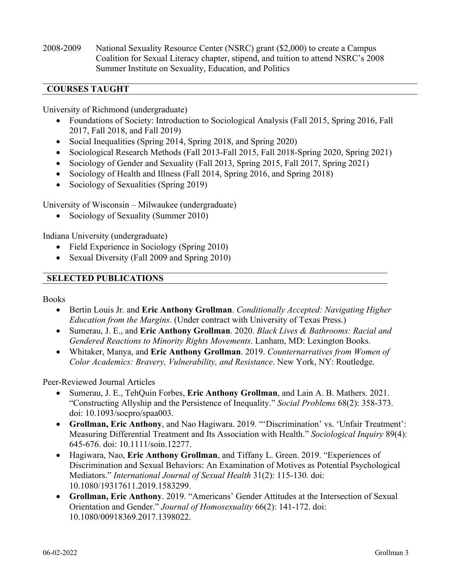2008-2009 National Sexuality Resource Center (NSRC) grant (\$2,000) to create a Campus Coalition for Sexual Literacy chapter, stipend, and tuition to attend NSRC's 2008 Summer Institute on Sexuality, Education, and Politics

## **COURSES TAUGHT**

University of Richmond (undergraduate)

- Foundations of Society: Introduction to Sociological Analysis (Fall 2015, Spring 2016, Fall 2017, Fall 2018, and Fall 2019)
- Social Inequalities (Spring 2014, Spring 2018, and Spring 2020)
- Sociological Research Methods (Fall 2013-Fall 2015, Fall 2018-Spring 2020, Spring 2021)
- Sociology of Gender and Sexuality (Fall 2013, Spring 2015, Fall 2017, Spring 2021)
- Sociology of Health and Illness (Fall 2014, Spring 2016, and Spring 2018)
- Sociology of Sexualities (Spring 2019)

University of Wisconsin – Milwaukee (undergraduate)

• Sociology of Sexuality (Summer 2010)

Indiana University (undergraduate)

- Field Experience in Sociology (Spring 2010)
- Sexual Diversity (Fall 2009 and Spring 2010)

#### **SELECTED PUBLICATIONS**

Books

- Bertin Louis Jr. and **Eric Anthony Grollman**. *Conditionally Accepted: Navigating Higher Education from the Margins*. (Under contract with University of Texas Press.)
- Sumerau, J. E., and **Eric Anthony Grollman**. 2020. *Black Lives & Bathrooms: Racial and Gendered Reactions to Minority Rights Movements*. Lanham, MD: Lexington Books.
- Whitaker, Manya, and **Eric Anthony Grollman**. 2019. *Counternarratives from Women of Color Academics: Bravery, Vulnerability, and Resistance*. New York, NY: Routledge.

Peer-Reviewed Journal Articles

- Sumerau, J. E., TehQuin Forbes, **Eric Anthony Grollman**, and Lain A. B. Mathers. 2021. "Constructing Allyship and the Persistence of Inequality." *Social Problems* 68(2): 358-373. doi: 10.1093/socpro/spaa003.
- **Grollman, Eric Anthony**, and Nao Hagiwara. 2019. "'Discrimination' vs. 'Unfair Treatment': Measuring Differential Treatment and Its Association with Health." *Sociological Inquiry* 89(4): 645-676. doi: 10.1111/soin.12277.
- Hagiwara, Nao, **Eric Anthony Grollman**, and Tiffany L. Green. 2019. "Experiences of Discrimination and Sexual Behaviors: An Examination of Motives as Potential Psychological Mediators." *International Journal of Sexual Health* 31(2): 115-130. doi: 10.1080/19317611.2019.1583299.
- **Grollman, Eric Anthony**. 2019. "Americans' Gender Attitudes at the Intersection of Sexual Orientation and Gender." *Journal of Homosexuality* 66(2): 141-172. doi: 10.1080/00918369.2017.1398022.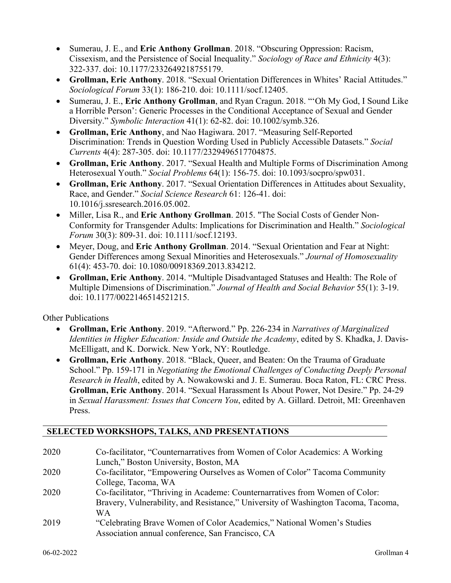- Sumerau, J. E., and **Eric Anthony Grollman**. 2018. "Obscuring Oppression: Racism, Cissexism, and the Persistence of Social Inequality." *Sociology of Race and Ethnicity* 4(3): 322-337. doi: 10.1177/2332649218755179.
- **Grollman, Eric Anthony**. 2018. "Sexual Orientation Differences in Whites' Racial Attitudes." *Sociological Forum* 33(1): 186-210. doi: 10.1111/socf.12405.
- Sumerau, J. E., **Eric Anthony Grollman**, and Ryan Cragun. 2018. "'Oh My God, I Sound Like a Horrible Person': Generic Processes in the Conditional Acceptance of Sexual and Gender Diversity." *Symbolic Interaction* 41(1): 62-82. doi: 10.1002/symb.326.
- **Grollman, Eric Anthony**, and Nao Hagiwara. 2017. "Measuring Self-Reported Discrimination: Trends in Question Wording Used in Publicly Accessible Datasets." *Social Currents* 4(4): 287-305. doi: 10.1177/2329496517704875.
- **Grollman, Eric Anthony**. 2017. "Sexual Health and Multiple Forms of Discrimination Among Heterosexual Youth." *Social Problems* 64(1): 156-75. doi: 10.1093/socpro/spw031.
- **Grollman, Eric Anthony**. 2017. "Sexual Orientation Differences in Attitudes about Sexuality, Race, and Gender." *Social Science Research* 61: 126-41. doi: 10.1016/j.ssresearch.2016.05.002.
- Miller, Lisa R., and **Eric Anthony Grollman**. 2015. "The Social Costs of Gender Non-Conformity for Transgender Adults: Implications for Discrimination and Health." *Sociological Forum* 30(3): 809-31. doi: 10.1111/socf.12193.
- Meyer, Doug, and **Eric Anthony Grollman**. 2014. "Sexual Orientation and Fear at Night: Gender Differences among Sexual Minorities and Heterosexuals." *Journal of Homosexuality* 61(4): 453-70. doi: 10.1080/00918369.2013.834212.
- **Grollman, Eric Anthony**. 2014. "Multiple Disadvantaged Statuses and Health: The Role of Multiple Dimensions of Discrimination." *Journal of Health and Social Behavior* 55(1): 3-19. doi: 10.1177/0022146514521215.

Other Publications

- **Grollman, Eric Anthony**. 2019. "Afterword." Pp. 226-234 in *Narratives of Marginalized Identities in Higher Education: Inside and Outside the Academy*, edited by S. Khadka, J. Davis-McElligatt, and K. Dorwick. New York, NY: Routledge.
- **Grollman, Eric Anthony**. 2018. "Black, Queer, and Beaten: On the Trauma of Graduate School." Pp. 159-171 in *Negotiating the Emotional Challenges of Conducting Deeply Personal Research in Health*, edited by A. Nowakowski and J. E. Sumerau. Boca Raton, FL: CRC Press. **Grollman, Eric Anthony**. 2014. "Sexual Harassment Is About Power, Not Desire." Pp. 24-29 in *Sexual Harassment: Issues that Concern You*, edited by A. Gillard. Detroit, MI: Greenhaven Press.

# **SELECTED WORKSHOPS, TALKS, AND PRESENTATIONS**

| 2020 | Co-facilitator, "Counternarratives from Women of Color Academics: A Working       |
|------|-----------------------------------------------------------------------------------|
|      | Lunch," Boston University, Boston, MA                                             |
| 2020 | Co-facilitator, "Empowering Ourselves as Women of Color" Tacoma Community         |
|      | College, Tacoma, WA                                                               |
| 2020 | Co-facilitator, "Thriving in Academe: Counternarratives from Women of Color:      |
|      | Bravery, Vulnerability, and Resistance," University of Washington Tacoma, Tacoma, |
|      | WА                                                                                |
| 2019 | "Celebrating Brave Women of Color Academics," National Women's Studies            |
|      | Association annual conference, San Francisco, CA                                  |
|      |                                                                                   |